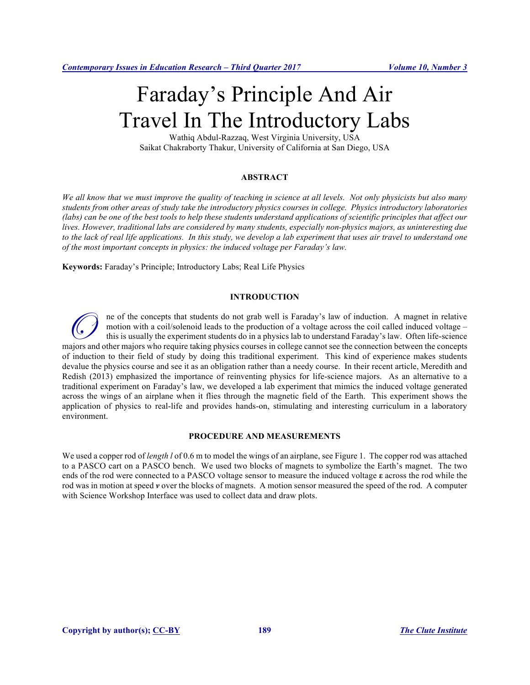# Faraday's Principle And Air Travel In The Introductory Labs

Wathiq Abdul-Razzaq, West Virginia University, USA Saikat Chakraborty Thakur, University of California at San Diego, USA

## **ABSTRACT**

*We all know that we must improve the quality of teaching in science at all levels. Not only physicists but also many students from other areas of study take the introductory physics courses in college. Physics introductory laboratories (labs) can be one of the best tools to help these students understand applications of scientific principles that affect our lives. However, traditional labs are considered by many students, especially non-physics majors, as uninteresting due*  to the lack of real life applications. In this study, we develop a lab experiment that uses air travel to understand one *of the most important concepts in physics: the induced voltage per Faraday's law.* 

**Keywords:** Faraday's Principle; Introductory Labs; Real Life Physics

#### **INTRODUCTION**

ne of the concepts that students do not grab well is Faraday's law of induction. A magnet in relative motion with a coil/solenoid leads to the production of a voltage across the coil called induced voltage – this is usually the experiment students do in a physics lab to understand Faraday's law. Often life-science majors and other majors who require taking physics courses in college cannot see the connection between the concepts majors and other majors who require taking physics courses in college cannot see the connection between t of induction to their field of study by doing this traditional experiment. This kind of experience makes students devalue the physics course and see it as an obligation rather than a needy course. In their recent article, Meredith and Redish (2013) emphasized the importance of reinventing physics for life-science majors. As an alternative to a traditional experiment on Faraday's law, we developed a lab experiment that mimics the induced voltage generated across the wings of an airplane when it flies through the magnetic field of the Earth. This experiment shows the application of physics to real-life and provides hands-on, stimulating and interesting curriculum in a laboratory environment.

#### **PROCEDURE AND MEASUREMENTS**

We used a copper rod of *length l* of 0.6 m to model the wings of an airplane, see Figure 1. The copper rod was attached to a PASCO cart on a PASCO bench. We used two blocks of magnets to symbolize the Earth's magnet. The two ends of the rod were connected to a PASCO voltage sensor to measure the induced voltage **ε** across the rod while the rod was in motion at speed *v* over the blocks of magnets. A motion sensor measured the speed of the rod. A computer with Science Workshop Interface was used to collect data and draw plots.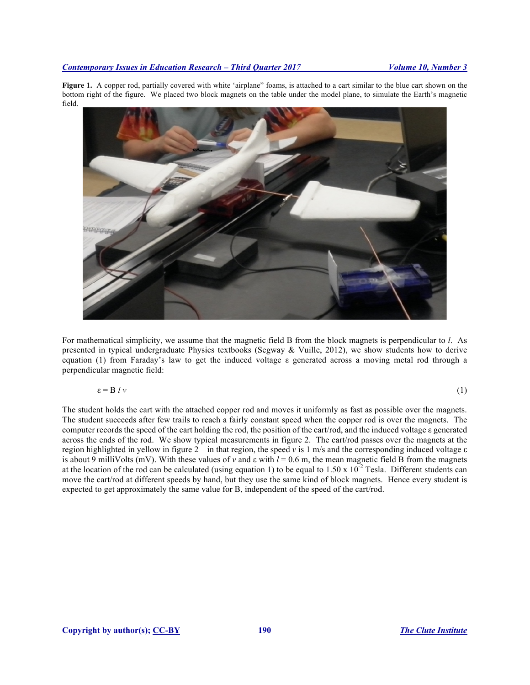Figure 1. A copper rod, partially covered with white 'airplane" foams, is attached to a cart similar to the blue cart shown on the bottom right of the figure. We placed two block magnets on the table under the model plane, to simulate the Earth's magnetic field.



For mathematical simplicity, we assume that the magnetic field B from the block magnets is perpendicular to *l*. As presented in typical undergraduate Physics textbooks (Segway & Vuille, 2012), we show students how to derive equation (1) from Faraday's law to get the induced voltage ε generated across a moving metal rod through a perpendicular magnetic field:

$$
\varepsilon = B l v \tag{1}
$$

The student holds the cart with the attached copper rod and moves it uniformly as fast as possible over the magnets. The student succeeds after few trails to reach a fairly constant speed when the copper rod is over the magnets. The computer records the speed of the cart holding the rod, the position of the cart/rod, and the induced voltage ε generated across the ends of the rod. We show typical measurements in figure 2. The cart/rod passes over the magnets at the region highlighted in yellow in figure 2 – in that region, the speed *v* is 1 m/s and the corresponding induced voltage ε is about 9 milliVolts (mV). With these values of *v* and  $\varepsilon$  with  $l = 0.6$  m, the mean magnetic field B from the magnets at the location of the rod can be calculated (using equation 1) to be equal to  $1.50 \times 10^{-2}$  Tesla. Different students can move the cart/rod at different speeds by hand, but they use the same kind of block magnets. Hence every student is expected to get approximately the same value for B, independent of the speed of the cart/rod.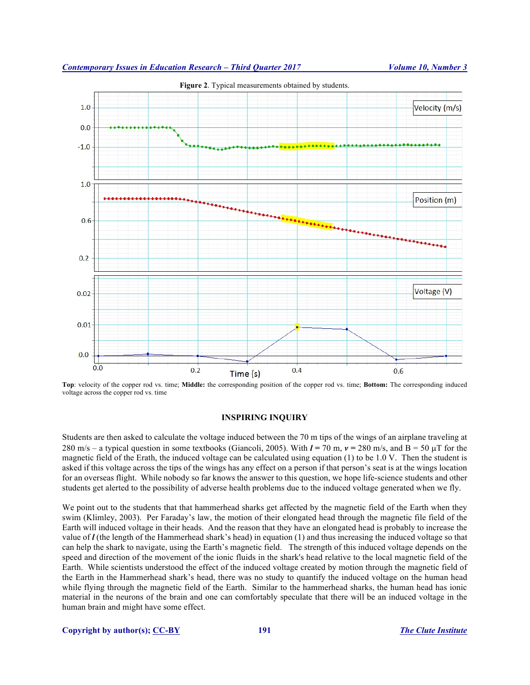

**Top**: velocity of the copper rod vs. time; **Middle:** the corresponding position of the copper rod vs. time; **Bottom:** The corresponding induced voltage across the copper rod vs. time

#### **INSPIRING INQUIRY**

Students are then asked to calculate the voltage induced between the 70 m tips of the wings of an airplane traveling at 280 m/s – a typical question in some textbooks (Giancoli, 2005). With  $l = 70$  m,  $v = 280$  m/s, and  $B = 50 \mu T$  for the magnetic field of the Erath, the induced voltage can be calculated using equation  $(1)$  to be 1.0 V. Then the student is asked if this voltage across the tips of the wings has any effect on a person if that person's seat is at the wings location for an overseas flight. While nobody so far knows the answer to this question, we hope life-science students and other students get alerted to the possibility of adverse health problems due to the induced voltage generated when we fly.

We point out to the students that that hammerhead sharks get affected by the magnetic field of the Earth when they swim (Klimley, 2003). Per Faraday's law, the motion of their elongated head through the magnetic file field of the Earth will induced voltage in their heads. And the reason that they have an elongated head is probably to increase the value of *l* (the length of the Hammerhead shark's head) in equation (1) and thus increasing the induced voltage so that can help the shark to navigate, using the Earth's magnetic field.The strength of this induced voltage depends on the speed and direction of the movement of the ionic fluids in the shark's head relative to the local magnetic field of the Earth. While scientists understood the effect of the induced voltage created by motion through the magnetic field of the Earth in the Hammerhead shark's head, there was no study to quantify the induced voltage on the human head while flying through the magnetic field of the Earth. Similar to the hammerhead sharks, the human head has ionic material in the neurons of the brain and one can comfortably speculate that there will be an induced voltage in the human brain and might have some effect.